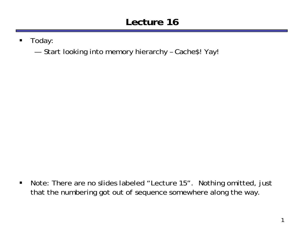# **Lecture 16**

- $\blacksquare$  Today:
	- ———————————————————— Start looking into memory hierarchy – Cache\$! Yay!

 $\blacksquare$  Note: There are no slides labeled "Lecture 15". Nothing omitted, just that the numbering got out of sequence somewhere along the way.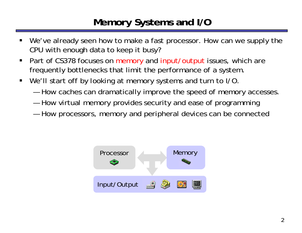#### **Memory Systems and I/O**

- We've already seen how to make a fast processor. How can we supply the CPU with enough data to keep it busy?
- $\blacksquare$ Part of CS378 focuses on memory and input/output issues, which are frequently bottlenecks that limit the performance of a system.
- $\blacksquare$  We'll start off by looking at memory systems and turn to I/O.
	- —How caches can dramatically improve the speed of memory accesses.
	- —How virtual memory provides security and ease of programming
	- —How processors, memory and peripheral devices can be connected

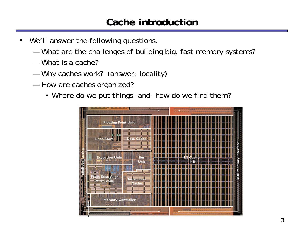#### **Cache introduction**

- We'll answer the following questions.
	- —What are the challenges of building big, fast memory systems?
	- What is a cache?
	- —Why caches work? (answer: locality)
	- — How are caches organized?
		- Where do we put things -and- how do we find them?

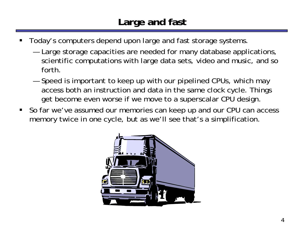#### **Large and fast**

- ш Today's computers depend upon large and fast storage systems.
	- — Large storage capacities are needed for many database applications, scientific computations with large data sets, video and music, and so forth.
	- ————— Speed is important to keep up with our pipelined CPUs, which may access both an instruction and data in the same clock cycle. Things get become even worse if we move to a superscalar CPU design.
- So far we've assumed our memories can keep up and our CPU can access memory twice in one cycle, but as we'll see that's a simplification.

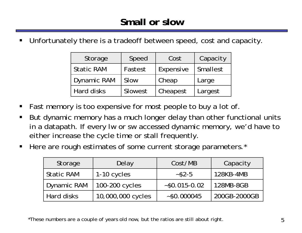ш Unfortunately there is a tradeoff between speed, cost and capacity.

| Storage            | Speed   | Cost      | Capacity |
|--------------------|---------|-----------|----------|
| <b>Static RAM</b>  | Fastest | Expensive | Smallest |
| <b>Dynamic RAM</b> | Slow    | Cheap     | Large    |
| <b>Hard disks</b>  | Slowest | Cheapest  | Largest  |

- П Fast memory is too expensive for most people to buy a lot of.
- П But dynamic memory has a much longer delay than other functional units in a datapath. If every lw or sw accessed dynamic memory, we'd have to either increase the cycle time or stall frequently.
- $\blacksquare$ Here are rough estimates of some current storage parameters.<sup>\*</sup>

| Storage            | Delay             | Cost/MB                       | Capacity     |  |
|--------------------|-------------------|-------------------------------|--------------|--|
| <b>Static RAM</b>  | 1-10 cycles       | $~-$ \$2-5                    | 128KB-4MB    |  |
| <b>Dynamic RAM</b> | 100-200 cycles    | $~50.015 - 0.02$<br>128MB-8GB |              |  |
| Hard disks         | 10,000,000 cycles | ~50.000045                    | 200GB-2000GB |  |

\*These numbers are a couple of years old now, but the ratios are still about right.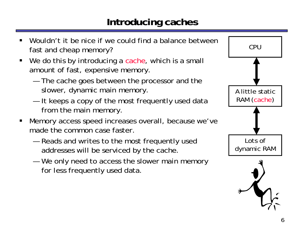#### **Introducing caches**



- ш Wouldn't it be nice if we could find a balance between fast and cheap memory?
- П We do this by introducing a cache, which is a small amount of fast, expensive memory.
	- ————— The cache goes between the processor and the slower, dynamic main memory.
	- ————————— It keeps a copy of the most frequently used data from the main memory.
- $\blacksquare$  Memory access speed increases overall, because we've made the common case faster.
	- — Reads and writes to the most frequently used addresses will be serviced by the cache.
	- —————————————— We only need to access the slower main memory for less frequently used data.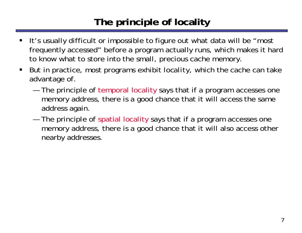## **The principle of locality**

- ш It's usually difficult or impossible to figure out what data will be "most frequently accessed" before a program actually runs, which makes it hard to know what to store into the small, precious cache memory.
- $\blacksquare$  But in practice, most programs exhibit *locality*, which the cache can take advantage of.
	- ————— The principle of temporal locality says that if a program accesses one memory address, there is a good chance that it will access the same address again.
	- and the control of the control of the control of The principle of spatial locality says that if a program accesses one memory address, there is a good chance that it will also access other nearby addresses.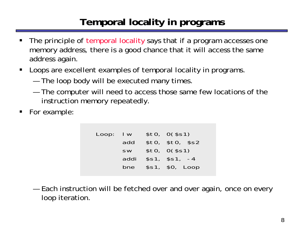# **Temporal locality in programs**

- ш The principle of temporal locality says that if a program accesses one memory address, there is a good chance that it will access the same address again.
- $\blacksquare$  Loops are excellent examples of temporal locality in programs.
	- ————— The loop body will be executed many times.
	- and the control of the control of the control of The computer will need to access those same few locations of the instruction memory repeatedly.
- п For example:

| $Loop:$ $ w $ |           | \$t0, 0 (\$s1)   |
|---------------|-----------|------------------|
|               | add       | \$t0, \$t0, \$s2 |
|               | <b>SW</b> | \$t0, 0 (\$s1)   |
|               | addi      | $$s1,$ $$s1, -4$ |
|               | bne       | $$s1, $0,$ Loop  |
|               |           |                  |

— Each instruction will be fetched over and over again, once on every loop iteration.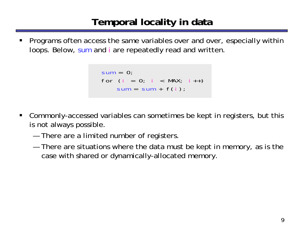#### **Temporal locality in data**

ш Programs often access the same variables over and over, especially within loops. Below, sum and i are repeatedly read and written.

```
sum = 0;
for (i = 0; i < MAX; i++)sum = sum + f(i);
```
- $\blacksquare$  Commonly-accessed variables can sometimes be kept in registers, but this is not always possible.
	- ————— There are a limited number of registers.
	- and the control of the control of the control of There are situations where the data must be kept in memory, as is the case with shared or dynamically-allocated memory.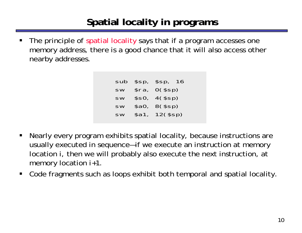# **Spatial locality in programs**

ш The principle of spatial locality says that if a program accesses one memory address, there is a good chance that it will also access other nearby addresses.

> sub \$sp, \$sp, 16 sw \$ra, 0(\$sp) sw \$s0, 4(\$sp) sw \$a0, 8(\$sp) sw \$a1, 12(\$sp)

- $\blacksquare$  Nearly every program exhibits spatial locality, because instructions are usually executed in sequence—if we execute an instruction at memory location *i*, then we will probably also execute the next instruction, at memory location *i+1*.
- $\blacksquare$ Code fragments such as loops exhibit *both* temporal and spatial locality.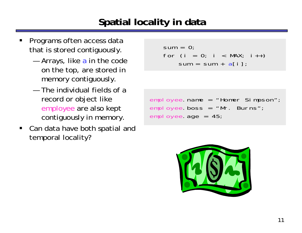## **Spatial locality in data**

- ш Programs often access data that is stored contiguously.
	- —Arrays, like a in the code on the top, are stored in memory contiguously.
	- The individual fields of a record or object like employee are also kept contiguously in memory.
- Can data have both spatial and temporal locality?

```
sum = 0;
for (i = 0; i < MAX; i++)sum = sum + a[i];
```

```
employee.name = "Homer Simpson";
employee.boss = "Mr. Burns";
employee.age = 45;
```
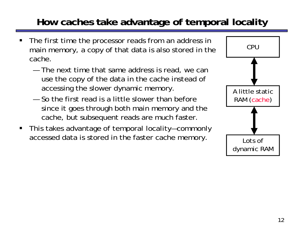# **How caches take advantage of temporal locality**

- ш The first time the processor reads from an address in main memory, a copy of that data is also stored in the cache.
	- The next time that same address is read, we can use the copy of the data in the cache *instead* of accessing the slower dynamic memory.
	- So the first read is a little slower than before since it goes through both main memory and the cache, but subsequent reads are much faster.
- $\blacksquare$  This takes advantage of temporal locality—commonly accessed data is stored in the faster cache memory. <br>Lots of

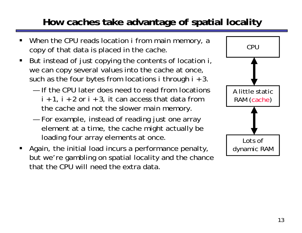# **How caches take advantage of spatial locality**

- ш When the CPU reads location *i* from main memory, a copy of that data is placed in the cache.
- П But instead of just copying the contents of location *i*, we can copy *several* values into the cache at once, such as the four bytes from locations *i* through *i* + 3.
	- If the CPU later does need to read from locations  $i + 1$ ,  $i + 2$  or  $i + 3$ , it can access that data from the cache and not the slower main memory.
	- — For example, instead of reading just one array element at a time, the cache might actually be loading four array elements at once.
- Again, the initial load incurs a performance penalty, but we're gambling on spatial locality and the chance that the CPU will need the extra data.

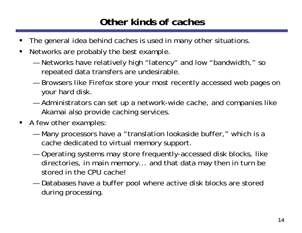#### **Other kinds of caches**

- ш The general idea behind caches is used in many other situations.
- $\blacksquare$  Networks are probably the best example.
	- — Networks have relatively high "latency" and low "bandwidth," so repeated data transfers are undesirable.
	- —————— Browsers like Firefox store your most recently accessed web pages on your hard disk.
	- — Administrators can set up a network-wide cache, and companies like Akamai also provide caching services.
- **A** few other examples:
	- — Many processors have a "translation lookaside buffer," which is a cache dedicated to virtual memory support.
	- — Operating systems may store frequently-accessed disk blocks, like directories, in main memory... and that data may then in turn be stored in the CPU cache!
	- — Databases have a buffer pool where active disk blocks are stored during processing.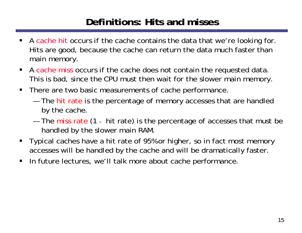#### **Definitions: Hits and misses**

- $\blacksquare$ A cache hit occurs if the cache contains the data that we're looking for. Hits are good, because the cache can return the data much faster than main memory.
- A cache miss occurs if the cache does not contain the requested data. This is bad, since the CPU must then wait for the slower main memory.
- $\blacksquare$  There are two basic measurements of cache performance.
	- The hit rate is the percentage of memory accesses that are handled by the cache.
	- The miss rate (1 - hit rate) is the percentage of accesses that must be handled by the slower main RAM.
- Typical caches have a hit rate of 95% or higher, so in fact most memory accesses will be handled by the cache and will be dramatically faster.
- $\blacksquare$ In future lectures, we'll talk more about cache performance.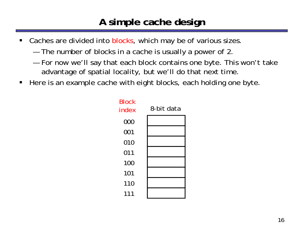#### **A simple cache design**

- $\blacksquare$ Caches are divided into blocks, which may be of various sizes.
	- ———————————————————— The number of blocks in a cache is usually a power of 2.
	- — For now we'll say that each block contains one byte. This won't take advantage of spatial locality, but we'll do that next time.
- $\blacksquare$ Here is an example cache with eight blocks, each holding one byte.

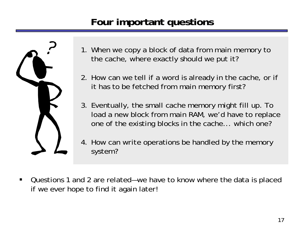## **Four important questions**



- 1. When we copy a block of data from main memory to the cache, where exactly should we put it?
- 2. How can we tell if a word is already in the cache, or if it has to be fetched from main memory first?
- 3. Eventually, the small cache memory might fill up. To load a new block from main RAM, we'd have to replace one of the existing blocks in the cache... which one?
- 4. How can *write* operations be handled by the memory system?
- $\blacksquare$  Questions 1 and 2 are related—we have to know where the data is placed if we ever hope to find it again later!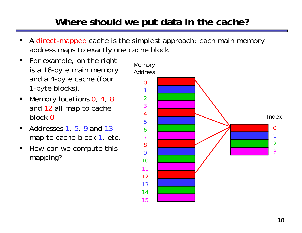## **Where should we put data in the cache?**

- ш A direct-mapped cache is the simplest approach: each main memory address maps to exactly one cache block.
- For example, on the right is a 16-byte main memory and a 4-byte cache (four 1-byte blocks).
- $\blacksquare$ ■ Memory locations 0, 4, 8 and 12 all map to cache block 0.
- $\blacksquare$  $\blacksquare$  Addresses 1, 5, 9 and 13 map to cache block 1, etc.
- $\blacksquare$  How can we compute this mapping?

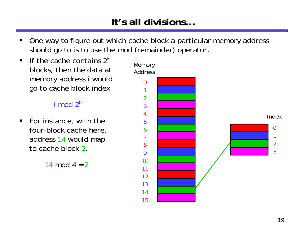## **It's all divisions…**

- ш One way to figure out which cache block a particular memory address should go to is to use the mod (remainder) operator.
- $\blacksquare$  If the cache contains 2*<sup>k</sup>* blocks, then the data at memory address *i* would go to cache block index

#### *i mod*  $2<sup>k</sup>$

 $\blacksquare$  For instance, with the four-block cache here, address 14 would map to cache block 2.

14 mod 4 = 2

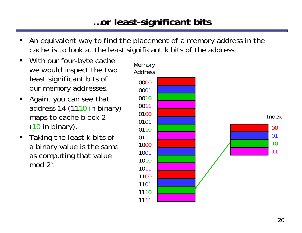#### **…or least-significant bits**

- ш An equivalent way to find the placement of a memory address in the cache is to look at the least significant *k* bits of the address.
- $\blacksquare$  With our four-byte cache we would inspect the two least significant bits of our memory addresses.
- $\blacksquare$  Again, you can see that address 14 (1110 in binary) maps to cache block 2 (10 in binary).
- $\blacksquare$  Taking the least *k* bits of a binary value is the same as computing that value mod 2*<sup>k</sup>* .

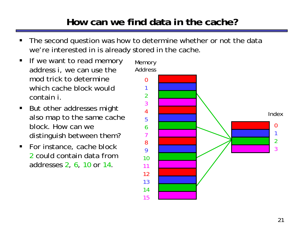## **How can we find data in the cache?**

- ш The second question was how to determine whether or not the data we're interested in is already stored in the cache.
- $\blacksquare$  If we want to read memory address *i*, we can use the mod trick to determinewhich cache block wouldcontain *i*.
- $\blacksquare$  But other addresses might *also* map to the same cache block. How can wedistinguish between them?
- For instance, cache block 2 could contain data fromaddresses 2, 6, 10 *or* 14.

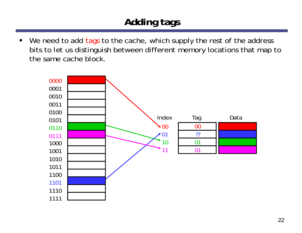# **Adding tags**

 $\blacksquare$ We need to add tags to the cache, which supply the rest of the address bits to let us distinguish between different memory locations that map to the same cache block.

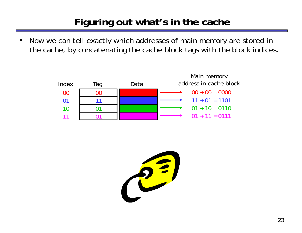# **Figuring out what's in the cache**

 $\blacksquare$  Now we can tell exactly which addresses of main memory are stored in the cache, by concatenating the cache block tags with the block indices.

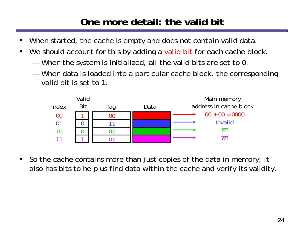# **One more detail: the valid bit**

- $\blacksquare$ When started, the cache is empty and does not contain valid data.
- $\blacksquare$ We should account for this by adding a valid bit for each cache block.
	- —When the system is initialized, all the valid bits are set to 0.
	- — When data is loaded into a particular cache block, the corresponding valid bit is set to 1.



 $\blacksquare$  So the cache contains more than just copies of the data in memory; it also has bits to help us find data within the cache and verify its validity.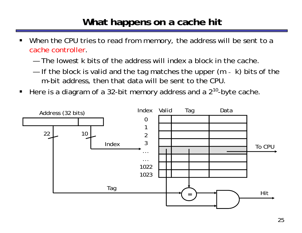#### **What happens on a cache hit**

- ш When the CPU tries to read from memory, the address will be sent to a cache controller.
	- The lowest *k* bits of the address will index a block in the cache.
	- — If the block is valid and the tag matches the upper (*<sup>m</sup>* - *k*) bits of the *<sup>m</sup>*-bit address, then that data will be sent to the CPU.
- $\blacksquare$ Here is a diagram of a 32-bit memory address and a 2<sup>10</sup>-byte cache.

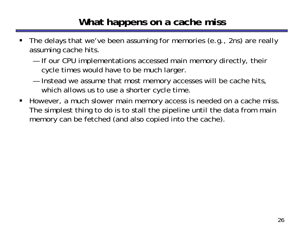#### **What happens on a cache miss**

- ш The delays that we've been assuming for memories (e.g., 2ns) are really assuming cache hits.
	- ——————————————— If our CPU implementations accessed main memory directly, their cycle times would have to be much larger.
	- — Instead we assume that most memory accesses will be cache hits, which allows us to use a shorter cycle time.
- $\blacksquare$  However, a much slower main memory access is needed on a cache miss. The simplest thing to do is to stall the pipeline until the data from main memory can be fetched (and also copied into the cache).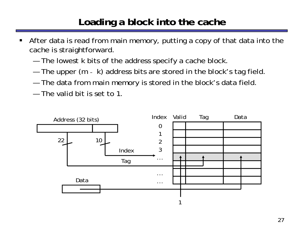#### **Loading a block into the cache**

- ш After data is read from main memory, putting a copy of that data into the cache is straightforward.
	- The lowest *k* bits of the address specify a cache block.
	- ————— The upper (*<sup>m</sup>* - *k*) address bits are stored in the block's tag field.
	- ————— The data from main memory is stored in the block's data field.
	- The valid bit is set to 1.

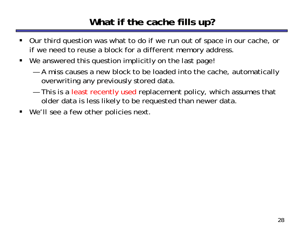#### **What if the cache fills up?**

- ш Our third question was what to do if we run out of space in our cache, or if we need to reuse a block for a different memory address.
- We answered this question implicitly on the last page!
	- — A miss causes a new block to be loaded into the cache, automatically overwriting any previously stored data.
	- and the control of the control of the control of This is a least recently used replacement policy, which assumes that older data is less likely to be requested than newer data.
- $\blacksquare$ We'll see a few other policies next.